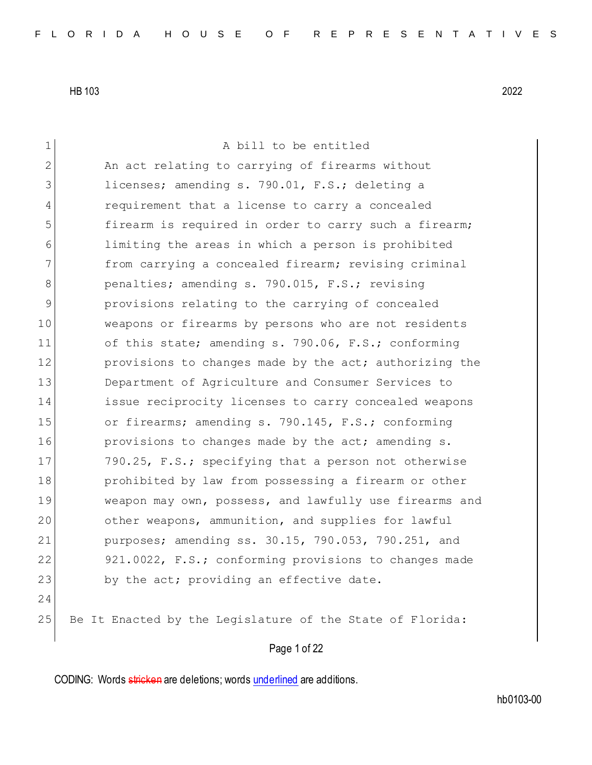| 1              | A bill to be entitled                                     |
|----------------|-----------------------------------------------------------|
| $\overline{2}$ | An act relating to carrying of firearms without           |
| 3              | licenses; amending s. 790.01, F.S.; deleting a            |
| 4              | requirement that a license to carry a concealed           |
| 5              | firearm is required in order to carry such a firearm;     |
| 6              | limiting the areas in which a person is prohibited        |
| 7              | from carrying a concealed firearm; revising criminal      |
| 8              | penalties; amending s. 790.015, F.S.; revising            |
| 9              | provisions relating to the carrying of concealed          |
| 10             | weapons or firearms by persons who are not residents      |
| 11             | of this state; amending s. 790.06, F.S.; conforming       |
| 12             | provisions to changes made by the act; authorizing the    |
| 13             | Department of Agriculture and Consumer Services to        |
| 14             | issue reciprocity licenses to carry concealed weapons     |
| 15             | or firearms; amending s. 790.145, F.S.; conforming        |
| 16             | provisions to changes made by the act; amending s.        |
| 17             | 790.25, F.S.; specifying that a person not otherwise      |
| 18             | prohibited by law from possessing a firearm or other      |
| 19             | weapon may own, possess, and lawfully use firearms and    |
| 20             | other weapons, ammunition, and supplies for lawful        |
| 21             | purposes; amending ss. 30.15, 790.053, 790.251, and       |
| 22             | 921.0022, F.S.; conforming provisions to changes made     |
| 23             | by the act; providing an effective date.                  |
| 24             |                                                           |
| 25             | Be It Enacted by the Legislature of the State of Florida: |

Page 1 of 22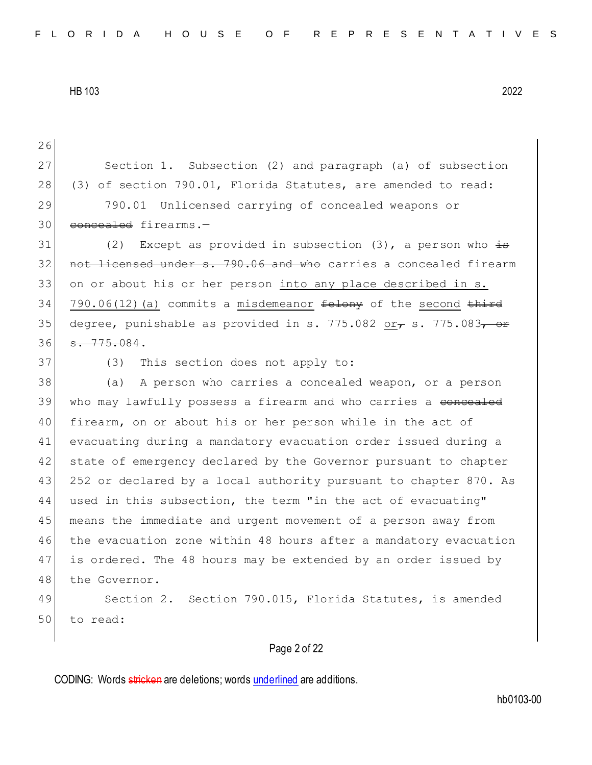26 27 Section 1. Subsection (2) and paragraph (a) of subsection 28 (3) of section 790.01, Florida Statutes, are amended to read: 29 790.01 Unlicensed carrying of concealed weapons or 30 concealed firearms.-31 (2) Except as provided in subsection  $(3)$ , a person who  $\pm$ 32 not licensed under s. 790.06 and who carries a concealed firearm 33 on or about his or her person into any place described in s. 34 790.06(12)(a) commits a misdemeanor  $f$ elony of the second  $f$ <sup>ird</sup> 35 degree, punishable as provided in s. 775.082 or f s. 775.083, or 36 <del>s. 775.084</del>. 37 (3) This section does not apply to: 38 (a) A person who carries a concealed weapon, or a person 39 who may lawfully possess a firearm and who carries a <del>concealed</del> 40 firearm, on or about his or her person while in the act of 41 evacuating during a mandatory evacuation order issued during a 42 state of emergency declared by the Governor pursuant to chapter 43 252 or declared by a local authority pursuant to chapter 870. As 44 used in this subsection, the term "in the act of evacuating" 45 means the immediate and urgent movement of a person away from 46 the evacuation zone within 48 hours after a mandatory evacuation 47 is ordered. The 48 hours may be extended by an order issued by 48 the Governor. 49 Section 2. Section 790.015, Florida Statutes, is amended 50 to read:

## Page 2 of 22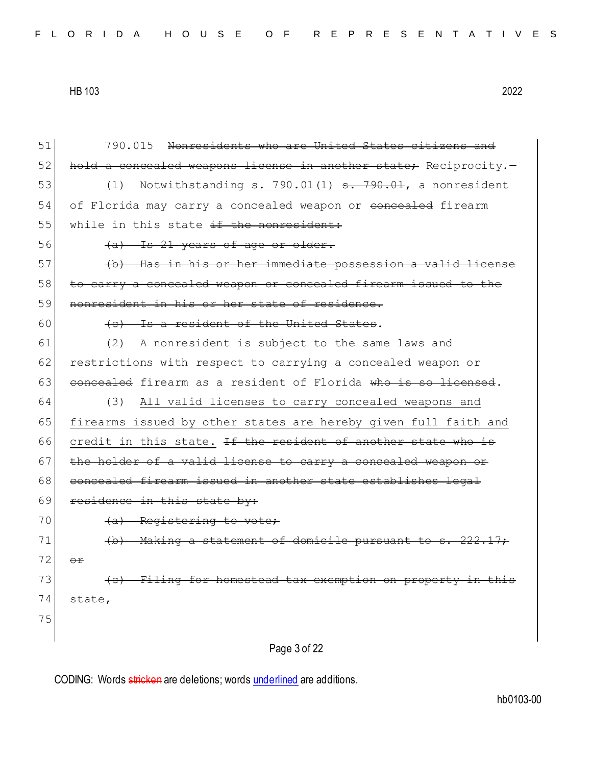Page 3 of 22 51 790.015 Nonresidents who are United States citizens and 52 hold a concealed weapons license in another state; Reciprocity.-53  $(1)$  Notwithstanding s. 790.01 $(1)$  s. 790.01, a nonresident 54 of Florida may carry a concealed weapon or concealed firearm 55 while in this state if the nonresident:  $56$  (a) Is 21 years of age or older. 57 (b) Has in his or her immediate possession a valid license 58 to carry a concealed weapon or concealed firearm issued to the 59 nonresident in his or her state of residence.  $60$  (c) Is a resident of the United States. 61 (2) A nonresident is subject to the same laws and 62 restrictions with respect to carrying a concealed weapon or  $63$  concealed firearm as a resident of Florida who is so licensed. 64 (3) All valid licenses to carry concealed weapons and 65 firearms issued by other states are hereby given full faith and 66 credit in this state. If the resident of another state who is  $67$  the holder of a valid license to carry a concealed weapon or 68 concealed firearm issued in another state establishes legal 69 residence in this state by: 70 (a) Registering to vote; 71 (b) Making a statement of domicile pursuant to s. 222.17;  $72$   $\leftrightarrow$  $73$  (c) Filing for homestead tax exemption on property in this  $74$  state, 75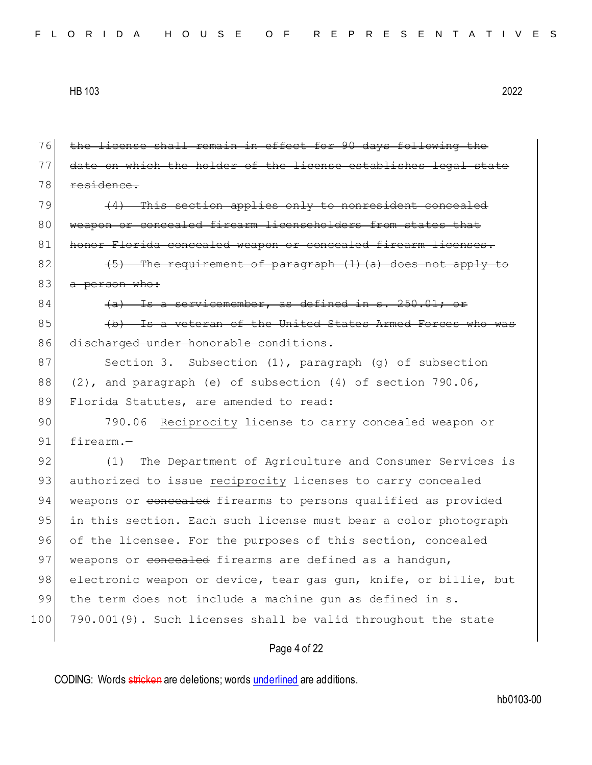| 76  | the license shall remain in effect for 90 days following the     |
|-----|------------------------------------------------------------------|
| 77  | date on which the holder of the license establishes legal state  |
| 78  | residence.                                                       |
| 79  | (4) This section applies only to nonresident concealed           |
| 80  | weapon or concealed firearm licenscholders from states that      |
| 81  | honor Florida concealed weapon or concealed firearm licenses.    |
| 82  | $(5)$ The requirement of paragraph $(1)$ (a) does not apply to   |
| 83  | a person who:                                                    |
| 84  | (a) Is a servicemember, as defined in s. 250.01; or              |
| 85  | (b) Is a veteran of the United States Armed Forces who was       |
| 86  | discharged under honorable conditions.                           |
| 87  | Section 3. Subsection $(1)$ , paragraph $(g)$ of subsection      |
| 88  | $(2)$ , and paragraph (e) of subsection $(4)$ of section 790.06, |
| 89  | Florida Statutes, are amended to read:                           |
| 90  | 790.06<br>Reciprocity license to carry concealed weapon or       |
| 91  | firearm.-                                                        |
| 92  | The Department of Agriculture and Consumer Services is<br>(1)    |
| 93  | authorized to issue reciprocity licenses to carry concealed      |
| 94  | weapons or concealed firearms to persons qualified as provided   |
| 95  | in this section. Each such license must bear a color photograph  |
| 96  | of the licensee. For the purposes of this section, concealed     |
| 97  | weapons or concealed firearms are defined as a handgun,          |
| 98  | electronic weapon or device, tear gas gun, knife, or billie, but |
| 99  | the term does not include a machine gun as defined in s.         |
| 100 | 790.001(9). Such licenses shall be valid throughout the state    |
|     | Page 4 of 22                                                     |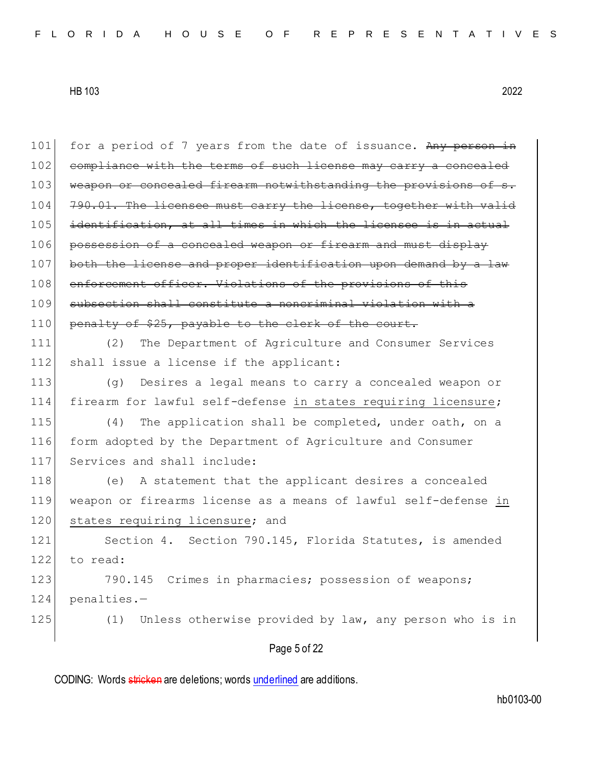| 101 | for a period of 7 years from the date of issuance. Any person in |
|-----|------------------------------------------------------------------|
| 102 | compliance with the terms of such license may carry a concealed  |
| 103 | weapon or concealed firearm notwithstanding the provisions of s. |
| 104 | 790.01. The licensee must carry the license, together with valid |
| 105 | identification, at all times in which the licensee is in actual  |
| 106 | possession of a concealed weapon or firearm and must display     |
| 107 | both the license and proper identification upon demand by a law  |
| 108 | enforcement officer. Violations of the provisions of this        |
| 109 | subsection shall constitute a noncriminal violation with a       |
| 110 | penalty of \$25, payable to the clerk of the court.              |
| 111 | The Department of Agriculture and Consumer Services<br>(2)       |
| 112 | shall issue a license if the applicant:                          |
| 113 | Desires a legal means to carry a concealed weapon or<br>(q)      |
| 114 | firearm for lawful self-defense in states requiring licensure;   |
| 115 | The application shall be completed, under oath, on a<br>(4)      |
| 116 | form adopted by the Department of Agriculture and Consumer       |
| 117 | Services and shall include:                                      |
| 118 | A statement that the applicant desires a concealed<br>(e)        |
| 119 | weapon or firearms license as a means of lawful self-defense in  |
| 120 | states requiring licensure; and                                  |
| 121 | Section 4. Section 790.145, Florida Statutes, is amended         |
| 122 | to read:                                                         |
| 123 | 790.145<br>Crimes in pharmacies; possession of weapons;          |
| 124 | penalties.-                                                      |
| 125 | Unless otherwise provided by law, any person who is in<br>(1)    |
|     | Page 5 of 22                                                     |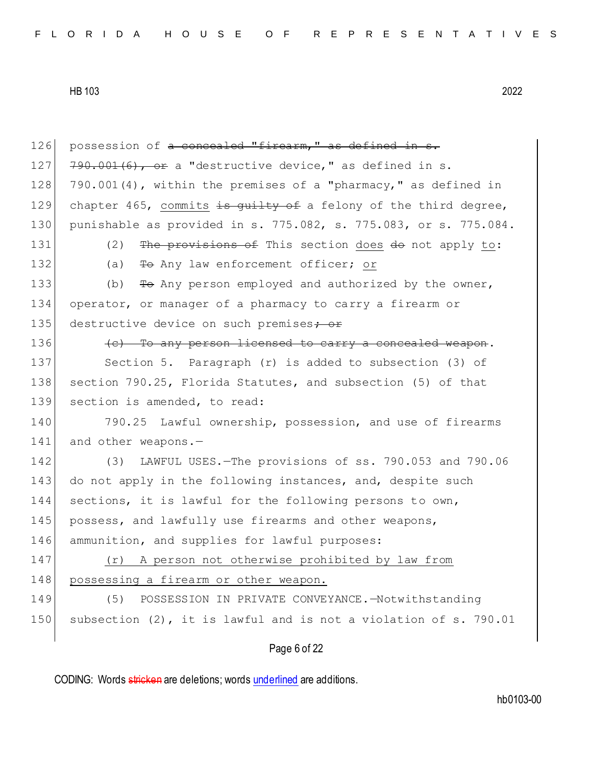Page 6 of 22 126 possession of a concealed "firearm," as defined in s. 127  $790.001(6)$ , or a "destructive device," as defined in s. 128 790.001(4), within the premises of a "pharmacy," as defined in 129 chapter 465, commits is quilty of a felony of the third degree, 130 punishable as provided in s. 775.082, s. 775.083, or s. 775.084. 131 (2) The provisions of This section does do not apply to: 132 (a) To Any law enforcement officer; or 133 (b) To Any person employed and authorized by the owner, 134 operator, or manager of a pharmacy to carry a firearm or 135 destructive device on such premises; or  $136$  (c) To any person licensed to carry a concealed weapon. 137 Section 5. Paragraph (r) is added to subsection (3) of 138 section 790.25, Florida Statutes, and subsection (5) of that 139 section is amended, to read: 140 790.25 Lawful ownership, possession, and use of firearms 141 and other weapons.-142 (3) LAWFUL USES.—The provisions of ss. 790.053 and 790.06 143 do not apply in the following instances, and, despite such 144 sections, it is lawful for the following persons to own, 145 possess, and lawfully use firearms and other weapons, 146 ammunition, and supplies for lawful purposes: 147 (r) A person not otherwise prohibited by law from 148 possessing a firearm or other weapon. 149 (5) POSSESSION IN PRIVATE CONVEYANCE. - Notwithstanding 150 subsection (2), it is lawful and is not a violation of s. 790.01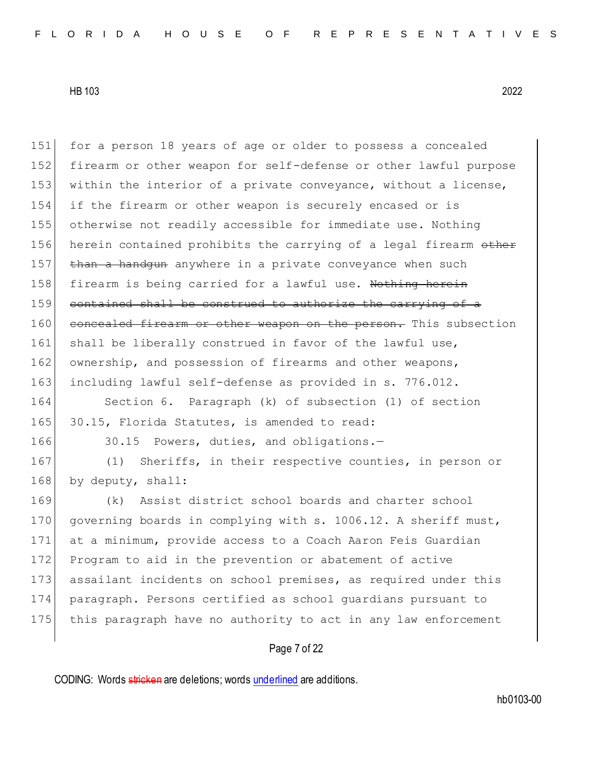| 151 | for a person 18 years of age or older to possess a concealed     |
|-----|------------------------------------------------------------------|
| 152 | firearm or other weapon for self-defense or other lawful purpose |
| 153 | within the interior of a private conveyance, without a license,  |
| 154 | if the firearm or other weapon is securely encased or is         |
| 155 | otherwise not readily accessible for immediate use. Nothing      |
| 156 | herein contained prohibits the carrying of a legal firearm other |
| 157 | than a handgun anywhere in a private conveyance when such        |
| 158 | firearm is being carried for a lawful use. Nothing herein        |
| 159 | contained shall be construed to authorize the carrying of a      |
| 160 | concealed firearm or other weapon on the person. This subsection |
| 161 | shall be liberally construed in favor of the lawful use,         |
| 162 | ownership, and possession of firearms and other weapons,         |
| 163 | including lawful self-defense as provided in s. 776.012.         |
| 164 | Section 6. Paragraph (k) of subsection (1) of section            |
| 165 | 30.15, Florida Statutes, is amended to read:                     |
| 166 | 30.15 Powers, duties, and obligations.-                          |
| 167 | Sheriffs, in their respective counties, in person or<br>(1)      |
| 168 | by deputy, shall:                                                |
| 169 | Assist district school boards and charter school<br>(k)          |
| 170 | governing boards in complying with s. 1006.12. A sheriff must,   |
| 171 | at a minimum, provide access to a Coach Aaron Feis Guardian      |
| 172 | Program to aid in the prevention or abatement of active          |
| 173 | assailant incidents on school premises, as required under this   |
| 174 | paragraph. Persons certified as school guardians pursuant to     |
| 175 | this paragraph have no authority to act in any law enforcement   |
|     |                                                                  |

## Page 7 of 22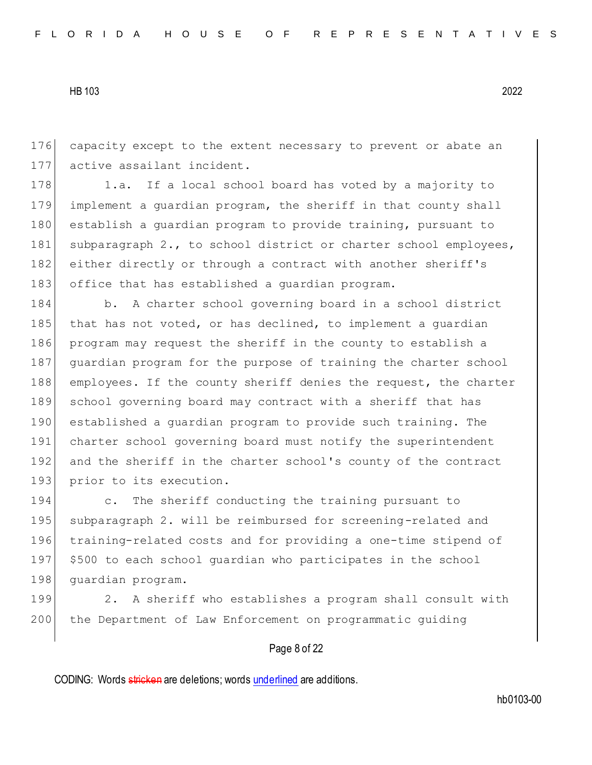176 capacity except to the extent necessary to prevent or abate an 177 active assailant incident.

178 1.a. If a local school board has voted by a majority to 179 implement a guardian program, the sheriff in that county shall 180 establish a guardian program to provide training, pursuant to 181 subparagraph 2., to school district or charter school employees, 182 either directly or through a contract with another sheriff's 183 office that has established a quardian program.

184 b. A charter school governing board in a school district 185 that has not voted, or has declined, to implement a quardian 186 program may request the sheriff in the county to establish a 187 quardian program for the purpose of training the charter school 188 employees. If the county sheriff denies the request, the charter 189 school governing board may contract with a sheriff that has 190 established a guardian program to provide such training. The 191 charter school governing board must notify the superintendent 192 and the sheriff in the charter school's county of the contract 193 prior to its execution.

194 c. The sheriff conducting the training pursuant to 195 subparagraph 2. will be reimbursed for screening-related and 196 training-related costs and for providing a one-time stipend of 197 \$500 to each school guardian who participates in the school 198 quardian program.

199 2. A sheriff who establishes a program shall consult with 200 the Department of Law Enforcement on programmatic guiding

## Page 8 of 22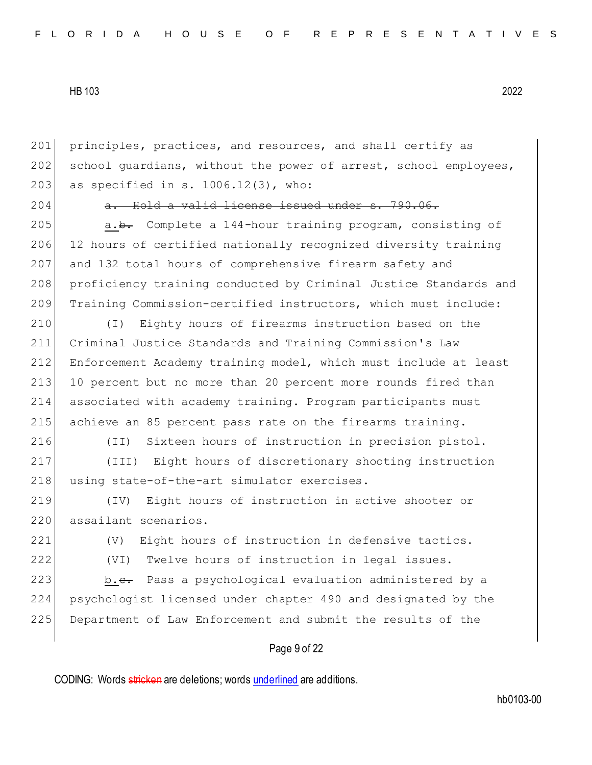201 principles, practices, and resources, and shall certify as 202 school quardians, without the power of arrest, school employees, 203 as specified in s.  $1006.12(3)$ , who:

 $204$  a. Hold a valid license issued under s. 790.06.

205 a.b. Complete a 144-hour training program, consisting of 206 12 hours of certified nationally recognized diversity training 207 and 132 total hours of comprehensive firearm safety and 208 proficiency training conducted by Criminal Justice Standards and 209 Training Commission-certified instructors, which must include:

 (I) Eighty hours of firearms instruction based on the Criminal Justice Standards and Training Commission's Law Enforcement Academy training model, which must include at least 213 10 percent but no more than 20 percent more rounds fired than associated with academy training. Program participants must achieve an 85 percent pass rate on the firearms training.

216 (II) Sixteen hours of instruction in precision pistol.

217 (III) Eight hours of discretionary shooting instruction 218 using state-of-the-art simulator exercises.

219 (IV) Eight hours of instruction in active shooter or 220 assailant scenarios.

221 (V) Eight hours of instruction in defensive tactics. 222 (VI) Twelve hours of instruction in legal issues.

223 b.c. Pass a psychological evaluation administered by a 224 psychologist licensed under chapter 490 and designated by the 225 Department of Law Enforcement and submit the results of the

## Page 9 of 22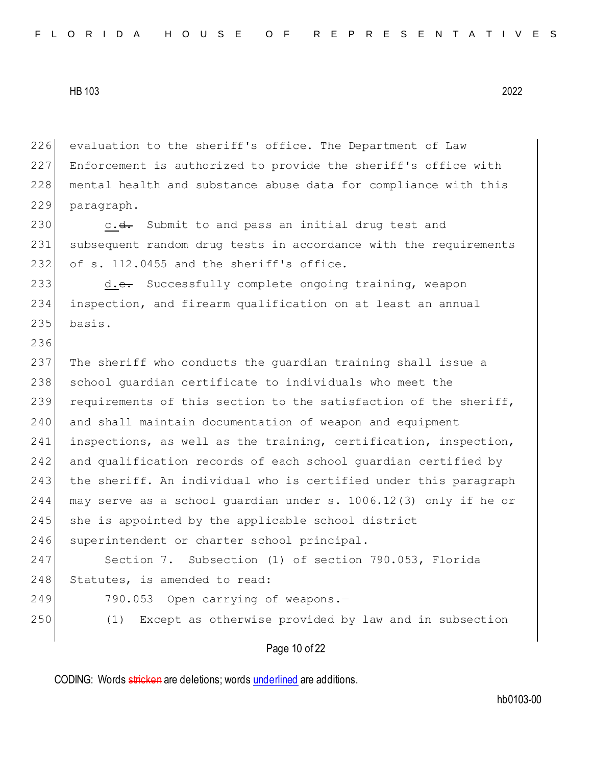evaluation to the sheriff's office. The Department of Law Enforcement is authorized to provide the sheriff's office with 228 mental health and substance abuse data for compliance with this paragraph.

230 c.<del>d.</del> Submit to and pass an initial drug test and 231 subsequent random drug tests in accordance with the requirements 232 of s. 112.0455 and the sheriff's office.

233 d.e. Successfully complete ongoing training, weapon 234 inspection, and firearm qualification on at least an annual  $235$  basis.

236

237 The sheriff who conducts the guardian training shall issue a 238 school quardian certificate to individuals who meet the 239 requirements of this section to the satisfaction of the sheriff, 240 and shall maintain documentation of weapon and equipment 241 inspections, as well as the training, certification, inspection, 242 and qualification records of each school guardian certified by 243 the sheriff. An individual who is certified under this paragraph 244 may serve as a school guardian under s. 1006.12(3) only if he or 245 she is appointed by the applicable school district 246 superintendent or charter school principal. 247 Section 7. Subsection (1) of section 790.053, Florida

248 Statutes, is amended to read:

249 790.053 Open carrying of weapons.

250 (1) Except as otherwise provided by law and in subsection

Page 10 of 22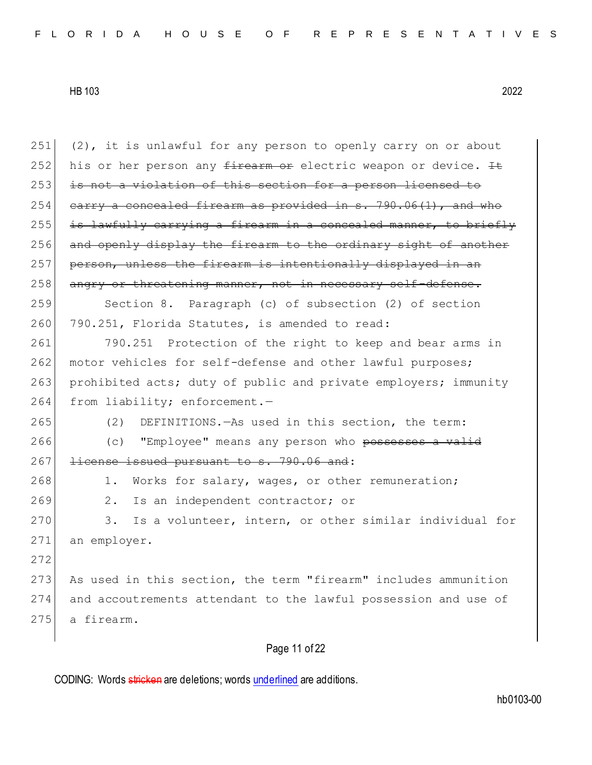| 251 | (2), it is unlawful for any person to openly carry on or about   |
|-----|------------------------------------------------------------------|
| 252 | his or her person any firearm or electric weapon or device. It   |
| 253 | is not a violation of this section for a person licensed to      |
| 254 | earry a concealed firearm as provided in s. 790.06(1), and who   |
| 255 | is lawfully carrying a firearm in a concealed manner, to briefly |
| 256 | and openly display the firearm to the ordinary sight of another  |
| 257 | person, unless the firearm is intentionally displayed in an      |
| 258 | angry or threatening manner, not in necessary self-defense.      |
| 259 | Section 8. Paragraph (c) of subsection (2) of section            |
| 260 | 790.251, Florida Statutes, is amended to read:                   |
| 261 | Protection of the right to keep and bear arms in<br>790.251      |
| 262 | motor vehicles for self-defense and other lawful purposes;       |
| 263 | prohibited acts; duty of public and private employers; immunity  |
| 264 | from liability; enforcement.-                                    |
| 265 | DEFINITIONS. - As used in this section, the term:<br>(2)         |
| 266 | "Employee" means any person who possesses a valid<br>(C)         |
| 267 | license issued pursuant to s. 790.06 and:                        |
| 268 | Works for salary, wages, or other remuneration;<br>1.            |
| 269 | 2.<br>Is an independent contractor; or                           |
| 270 | Is a volunteer, intern, or other similar individual for<br>3.    |
| 271 | an employer.                                                     |
| 272 |                                                                  |
| 273 | As used in this section, the term "firearm" includes ammunition  |
| 274 | and accoutrements attendant to the lawful possession and use of  |
| 275 | a firearm.                                                       |
|     |                                                                  |

Page 11 of 22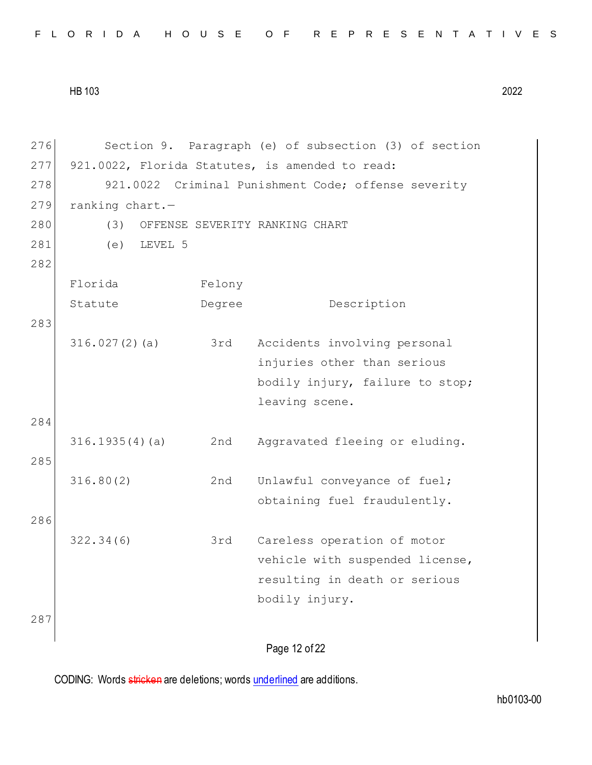| FLORIDA HOUSE OF REPRESENTATIVES |  |  |  |  |  |  |  |  |  |  |
|----------------------------------|--|--|--|--|--|--|--|--|--|--|
|----------------------------------|--|--|--|--|--|--|--|--|--|--|

Page 12 of 22 276 Section 9. Paragraph (e) of subsection (3) of section 277 921.0022, Florida Statutes, is amended to read: 278 921.0022 Criminal Punishment Code; offense severity 279 ranking chart.-280 (3) OFFENSE SEVERITY RANKING CHART 281 (e) LEVEL 5 282 Florida Statute Felony Degree Description 283 316.027(2)(a) 3rd Accidents involving personal injuries other than serious bodily injury, failure to stop; leaving scene. 284 316.1935(4)(a) 2nd Aggravated fleeing or eluding. 285 316.80(2) 2nd Unlawful conveyance of fuel; obtaining fuel fraudulently. 286 322.34(6) 3rd Careless operation of motor vehicle with suspended license, resulting in death or serious bodily injury. 287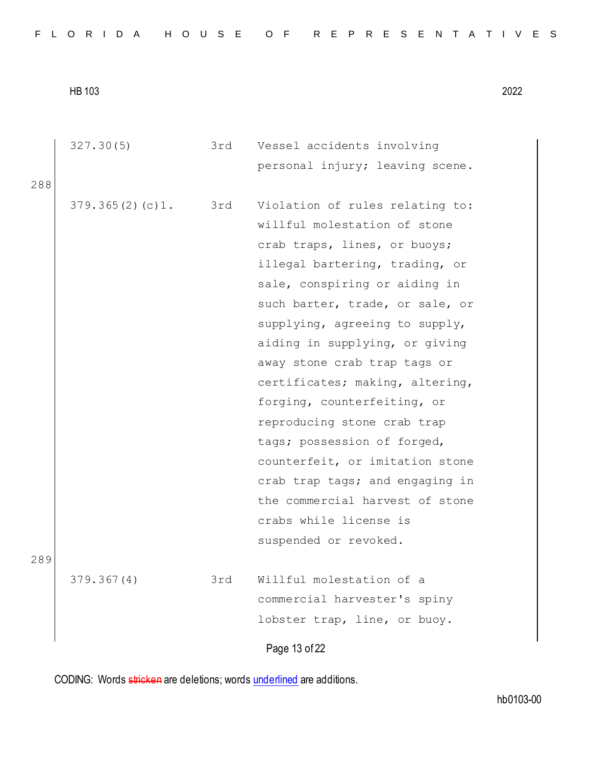| personal injury; leaving scene.<br>288<br>379.365(2)(c)1. 3rd<br>Violation of rules relating to:<br>willful molestation of stone<br>crab traps, lines, or buoys;<br>illegal bartering, trading, or<br>sale, conspiring or aiding in<br>such barter, trade, or sale, or<br>supplying, agreeing to supply,<br>aiding in supplying, or giving<br>away stone crab trap tags or<br>certificates; making, altering,<br>forging, counterfeiting, or<br>reproducing stone crab trap<br>tags; possession of forged,<br>counterfeit, or imitation stone<br>crab trap tags; and engaging in<br>the commercial harvest of stone<br>crabs while license is<br>suspended or revoked. | 327.30(5) | 3rd | Vessel accidents involving |
|------------------------------------------------------------------------------------------------------------------------------------------------------------------------------------------------------------------------------------------------------------------------------------------------------------------------------------------------------------------------------------------------------------------------------------------------------------------------------------------------------------------------------------------------------------------------------------------------------------------------------------------------------------------------|-----------|-----|----------------------------|
|                                                                                                                                                                                                                                                                                                                                                                                                                                                                                                                                                                                                                                                                        |           |     |                            |
|                                                                                                                                                                                                                                                                                                                                                                                                                                                                                                                                                                                                                                                                        |           |     |                            |
|                                                                                                                                                                                                                                                                                                                                                                                                                                                                                                                                                                                                                                                                        |           |     |                            |
|                                                                                                                                                                                                                                                                                                                                                                                                                                                                                                                                                                                                                                                                        |           |     |                            |
|                                                                                                                                                                                                                                                                                                                                                                                                                                                                                                                                                                                                                                                                        |           |     |                            |
|                                                                                                                                                                                                                                                                                                                                                                                                                                                                                                                                                                                                                                                                        |           |     |                            |
|                                                                                                                                                                                                                                                                                                                                                                                                                                                                                                                                                                                                                                                                        |           |     |                            |
|                                                                                                                                                                                                                                                                                                                                                                                                                                                                                                                                                                                                                                                                        |           |     |                            |
|                                                                                                                                                                                                                                                                                                                                                                                                                                                                                                                                                                                                                                                                        |           |     |                            |
|                                                                                                                                                                                                                                                                                                                                                                                                                                                                                                                                                                                                                                                                        |           |     |                            |
|                                                                                                                                                                                                                                                                                                                                                                                                                                                                                                                                                                                                                                                                        |           |     |                            |
|                                                                                                                                                                                                                                                                                                                                                                                                                                                                                                                                                                                                                                                                        |           |     |                            |
|                                                                                                                                                                                                                                                                                                                                                                                                                                                                                                                                                                                                                                                                        |           |     |                            |
|                                                                                                                                                                                                                                                                                                                                                                                                                                                                                                                                                                                                                                                                        |           |     |                            |
|                                                                                                                                                                                                                                                                                                                                                                                                                                                                                                                                                                                                                                                                        |           |     |                            |
|                                                                                                                                                                                                                                                                                                                                                                                                                                                                                                                                                                                                                                                                        |           |     |                            |
|                                                                                                                                                                                                                                                                                                                                                                                                                                                                                                                                                                                                                                                                        |           |     |                            |
|                                                                                                                                                                                                                                                                                                                                                                                                                                                                                                                                                                                                                                                                        |           |     |                            |
|                                                                                                                                                                                                                                                                                                                                                                                                                                                                                                                                                                                                                                                                        |           |     |                            |
|                                                                                                                                                                                                                                                                                                                                                                                                                                                                                                                                                                                                                                                                        |           |     |                            |
| 289                                                                                                                                                                                                                                                                                                                                                                                                                                                                                                                                                                                                                                                                    |           |     |                            |
| Willful molestation of a<br>379.367(4)<br>3rd                                                                                                                                                                                                                                                                                                                                                                                                                                                                                                                                                                                                                          |           |     |                            |
| commercial harvester's spiny                                                                                                                                                                                                                                                                                                                                                                                                                                                                                                                                                                                                                                           |           |     |                            |
| lobster trap, line, or buoy.                                                                                                                                                                                                                                                                                                                                                                                                                                                                                                                                                                                                                                           |           |     |                            |
| Page 13 of 22                                                                                                                                                                                                                                                                                                                                                                                                                                                                                                                                                                                                                                                          |           |     |                            |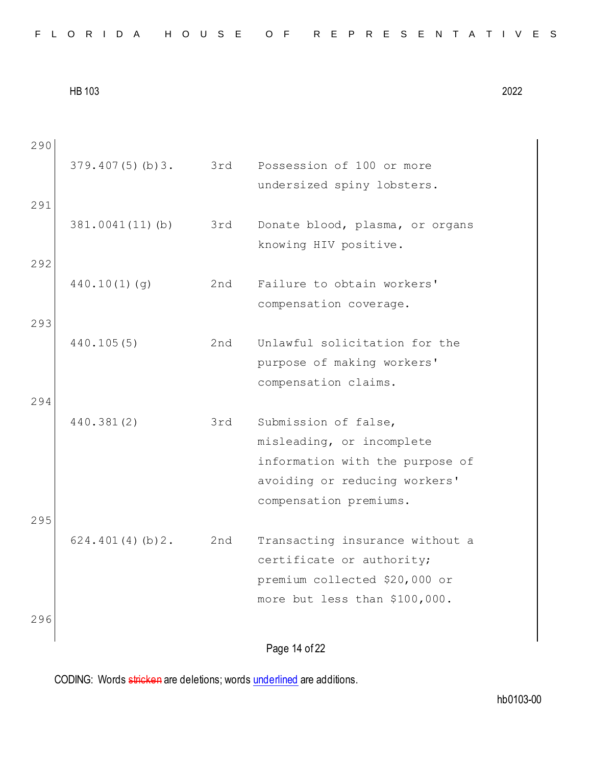| 290 |                 |     |                                 |
|-----|-----------------|-----|---------------------------------|
|     | 379.407(5)(b)3. | 3rd | Possession of 100 or more       |
|     |                 |     | undersized spiny lobsters.      |
| 291 |                 |     |                                 |
|     | 381.0041(11)(b) | 3rd | Donate blood, plasma, or organs |
|     |                 |     | knowing HIV positive.           |
| 292 |                 |     |                                 |
|     | 440.10(1)(g)    | 2nd | Failure to obtain workers'      |
|     |                 |     | compensation coverage.          |
| 293 |                 |     |                                 |
|     | 440.105(5)      | 2nd | Unlawful solicitation for the   |
|     |                 |     | purpose of making workers'      |
|     |                 |     | compensation claims.            |
| 294 |                 |     |                                 |
|     | 440.381(2)      | 3rd | Submission of false,            |
|     |                 |     | misleading, or incomplete       |
|     |                 |     | information with the purpose of |
|     |                 |     | avoiding or reducing workers'   |
|     |                 |     | compensation premiums.          |
| 295 |                 |     |                                 |
|     | 624.401(4)(b)2. | 2nd | Transacting insurance without a |
|     |                 |     | certificate or authority;       |
|     |                 |     | premium collected \$20,000 or   |
|     |                 |     | more but less than \$100,000.   |
| 296 |                 |     |                                 |
|     |                 |     | Page 14 of 22                   |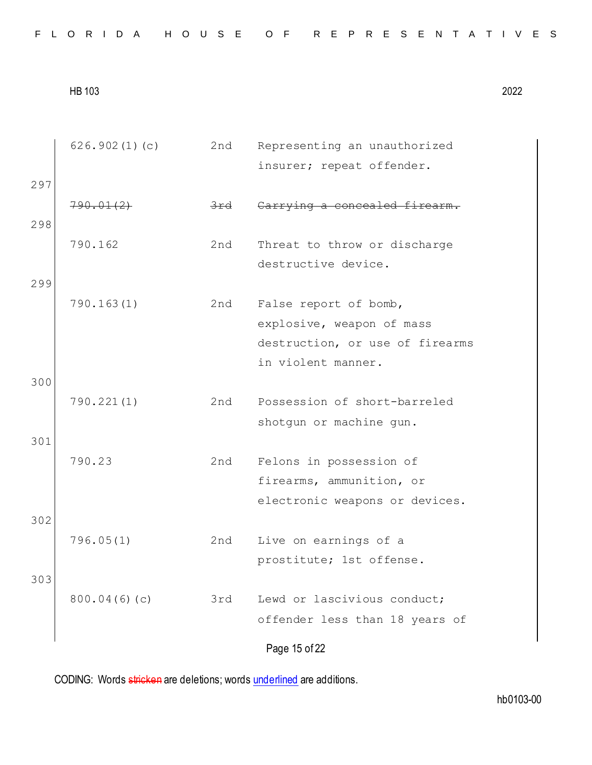| FLORIDA HOUSE OF REPRESENTATIVES |  |  |
|----------------------------------|--|--|
|----------------------------------|--|--|

Page 15 of 22 626.902(1)(c) 2nd Representing an unauthorized insurer; repeat offender. 297 790.01(2) 3rd Carrying a concealed firearm. 298 790.162 2nd Threat to throw or discharge destructive device. 299 790.163(1) 2nd False report of bomb, explosive, weapon of mass destruction, or use of firearms in violent manner. 300 790.221(1) 2nd Possession of short-barreled shotgun or machine gun. 301 790.23 2nd Felons in possession of firearms, ammunition, or electronic weapons or devices. 302 796.05(1) 2nd Live on earnings of a prostitute; 1st offense. 303 800.04(6)(c) 3rd Lewd or lascivious conduct; offender less than 18 years of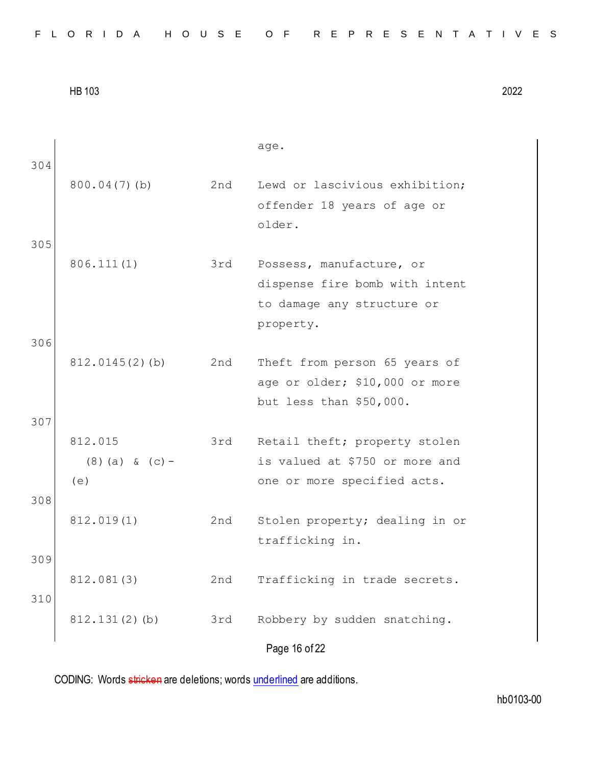|     |                   |     | age.                                                            |
|-----|-------------------|-----|-----------------------------------------------------------------|
| 304 | $800.04(7)$ (b)   | 2nd | Lewd or lascivious exhibition;                                  |
|     |                   |     | offender 18 years of age or                                     |
|     |                   |     | older.                                                          |
| 305 |                   |     |                                                                 |
|     | 806.111(1)        | 3rd | Possess, manufacture, or                                        |
|     |                   |     | dispense fire bomb with intent                                  |
|     |                   |     | to damage any structure or                                      |
|     |                   |     | property.                                                       |
| 306 |                   |     |                                                                 |
|     | $812.0145(2)$ (b) | 2nd | Theft from person 65 years of                                   |
|     |                   |     | age or older; \$10,000 or more                                  |
|     |                   |     | but less than \$50,000.                                         |
| 307 | 812.015           |     |                                                                 |
|     | $(8)$ (a) & (c) - | 3rd | Retail theft; property stolen<br>is valued at \$750 or more and |
|     | (e)               |     | one or more specified acts.                                     |
| 308 |                   |     |                                                                 |
|     | 812.019(1)        | 2nd | Stolen property; dealing in or                                  |
|     |                   |     | trafficking in.                                                 |
| 309 |                   |     |                                                                 |
|     | 812.081(3)        | 2nd | Trafficking in trade secrets.                                   |
| 310 |                   |     |                                                                 |
|     | 812.131(2)(b)     | 3rd | Robbery by sudden snatching.                                    |
|     |                   |     | Page 16 of 22                                                   |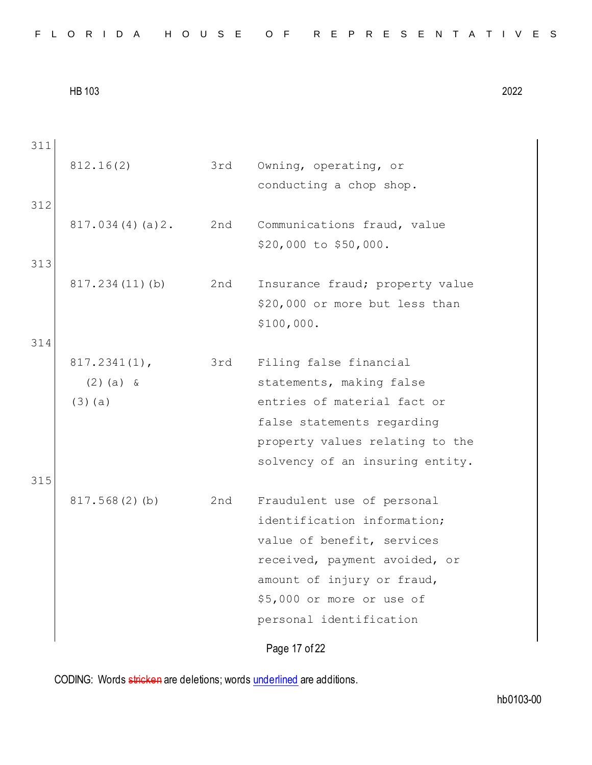| 311 |                 |     |                                 |
|-----|-----------------|-----|---------------------------------|
|     | 812.16(2)       | 3rd | Owning, operating, or           |
|     |                 |     | conducting a chop shop.         |
| 312 |                 |     |                                 |
|     | 817.034(4)(a)2. | 2nd | Communications fraud, value     |
|     |                 |     | \$20,000 to \$50,000.           |
| 313 |                 |     |                                 |
|     | 817.234(11)(b)  | 2nd | Insurance fraud; property value |
|     |                 |     | \$20,000 or more but less than  |
|     |                 |     | \$100,000.                      |
| 314 |                 |     |                                 |
|     | $817.2341(1)$ , | 3rd | Filing false financial          |
|     | $(2)$ (a) &     |     | statements, making false        |
|     | $(3)$ (a)       |     | entries of material fact or     |
|     |                 |     | false statements regarding      |
|     |                 |     | property values relating to the |
|     |                 |     | solvency of an insuring entity. |
| 315 |                 |     |                                 |
|     | 817.568(2)(b)   | 2nd | Fraudulent use of personal      |
|     |                 |     | identification information;     |
|     |                 |     | value of benefit, services      |
|     |                 |     | received, payment avoided, or   |
|     |                 |     | amount of injury or fraud,      |
|     |                 |     | \$5,000 or more or use of       |
|     |                 |     | personal identification         |
|     |                 |     | Page 17 of 22                   |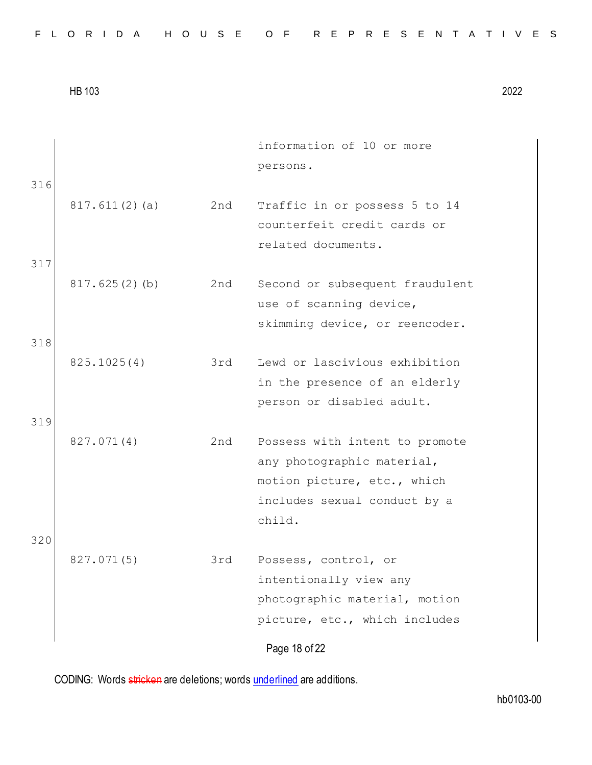| FLORIDA HOUSE OF REPRESENTATIVES |  |  |  |  |  |  |  |  |  |  |  |  |  |  |  |  |  |  |  |  |  |  |  |  |  |
|----------------------------------|--|--|--|--|--|--|--|--|--|--|--|--|--|--|--|--|--|--|--|--|--|--|--|--|--|
|----------------------------------|--|--|--|--|--|--|--|--|--|--|--|--|--|--|--|--|--|--|--|--|--|--|--|--|--|

| 316 |               |     | information of 10 or more<br>persons.                                                                                                 |
|-----|---------------|-----|---------------------------------------------------------------------------------------------------------------------------------------|
|     | 817.611(2)(a) | 2nd | Traffic in or possess 5 to 14<br>counterfeit credit cards or<br>related documents.                                                    |
| 317 |               |     |                                                                                                                                       |
|     | 817.625(2)(b) | 2nd | Second or subsequent fraudulent<br>use of scanning device,<br>skimming device, or reencoder.                                          |
| 318 |               |     |                                                                                                                                       |
|     | 825.1025(4)   | 3rd | Lewd or lascivious exhibition<br>in the presence of an elderly<br>person or disabled adult.                                           |
| 319 |               |     |                                                                                                                                       |
|     | 827.071(4)    | 2nd | Possess with intent to promote<br>any photographic material,<br>motion picture, etc., which<br>includes sexual conduct by a<br>child. |
| 320 | 827.071(5)    | 3rd | Possess, control, or                                                                                                                  |
|     |               |     | intentionally view any<br>photographic material, motion<br>picture, etc., which includes                                              |
|     |               |     | Page 18 of 22                                                                                                                         |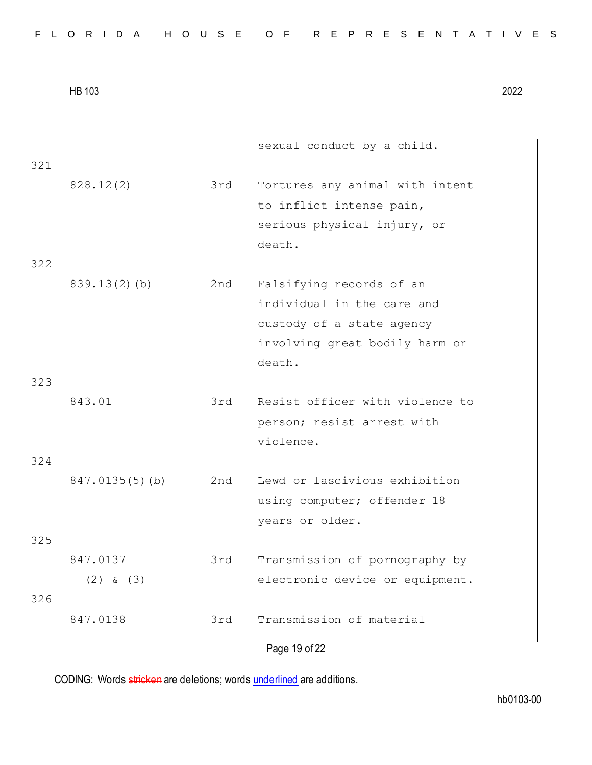|  |  |  |  |  |  |  |  |  | FLORIDA HOUSE OF REPRESENTATIVES |  |  |  |  |  |  |  |  |  |  |  |  |  |  |  |
|--|--|--|--|--|--|--|--|--|----------------------------------|--|--|--|--|--|--|--|--|--|--|--|--|--|--|--|
|--|--|--|--|--|--|--|--|--|----------------------------------|--|--|--|--|--|--|--|--|--|--|--|--|--|--|--|

|            |                           |     | sexual conduct by a child.                                                                                                      |
|------------|---------------------------|-----|---------------------------------------------------------------------------------------------------------------------------------|
| 321        | 828.12(2)                 | 3rd | Tortures any animal with intent<br>to inflict intense pain,<br>serious physical injury, or<br>death.                            |
| 322        |                           |     |                                                                                                                                 |
|            | $839.13(2)$ (b)           | 2nd | Falsifying records of an<br>individual in the care and<br>custody of a state agency<br>involving great bodily harm or<br>death. |
| 323        | 843.01                    | 3rd | Resist officer with violence to<br>person; resist arrest with<br>violence.                                                      |
| 324<br>325 | $847.0135(5)$ (b)         | 2nd | Lewd or lascivious exhibition<br>using computer; offender 18<br>years or older.                                                 |
| 326        | 847.0137<br>$(2)$ & $(3)$ | 3rd | Transmission of pornography by<br>electronic device or equipment.                                                               |
|            | 847.0138                  | 3rd | Transmission of material                                                                                                        |
|            |                           |     | Page 19 of 22                                                                                                                   |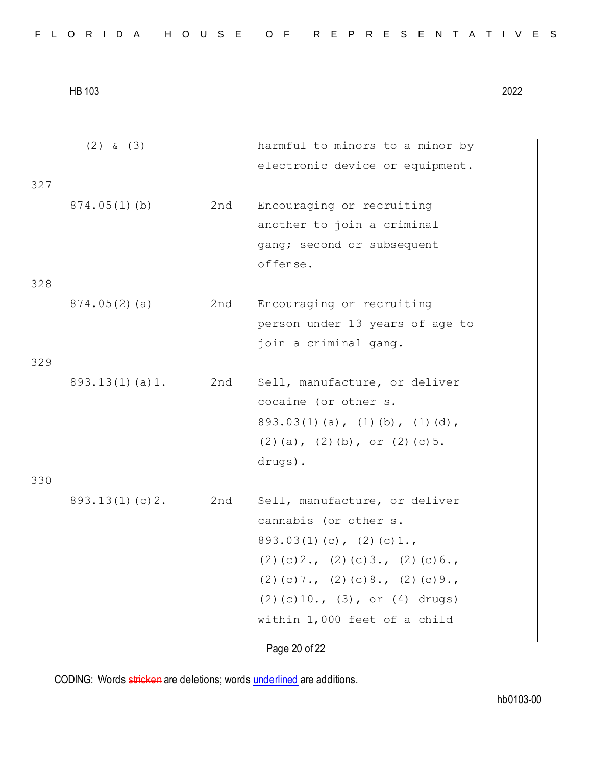| FLORIDA HOUSE OF REPRESENTATIVES |  |  |
|----------------------------------|--|--|
|----------------------------------|--|--|

| 327        | $(2)$ & $(3)$      |     | harmful to minors to a minor by<br>electronic device or equipment.                                                                                                                                                                           |
|------------|--------------------|-----|----------------------------------------------------------------------------------------------------------------------------------------------------------------------------------------------------------------------------------------------|
|            | $874.05(1)$ (b)    | 2nd | Encouraging or recruiting<br>another to join a criminal<br>gang; second or subsequent<br>offense.                                                                                                                                            |
| 328<br>329 | 874.05(2)(a)       | 2nd | Encouraging or recruiting<br>person under 13 years of age to<br>join a criminal gang.                                                                                                                                                        |
|            | $893.13(1)$ (a) 1. | 2nd | Sell, manufacture, or deliver<br>cocaine (or other s.<br>$893.03(1)$ (a), (1) (b), (1) (d),<br>$(2)$ (a), $(2)$ (b), or $(2)$ (c) 5.<br>drugs).                                                                                              |
| 330        | 893.13(1)(c)2.     | 2nd | Sell, manufacture, or deliver<br>cannabis (or other s.<br>$893.03(1)(c)$ , $(2)(c)1.$<br>$(2)$ (c) 2., (2) (c) 3., (2) (c) 6.,<br>$(2)$ (c) 7., (2) (c) 8., (2) (c) 9.,<br>$(2)$ (c) 10., (3), or (4) drugs)<br>within 1,000 feet of a child |
|            |                    |     | Page 20 of 22                                                                                                                                                                                                                                |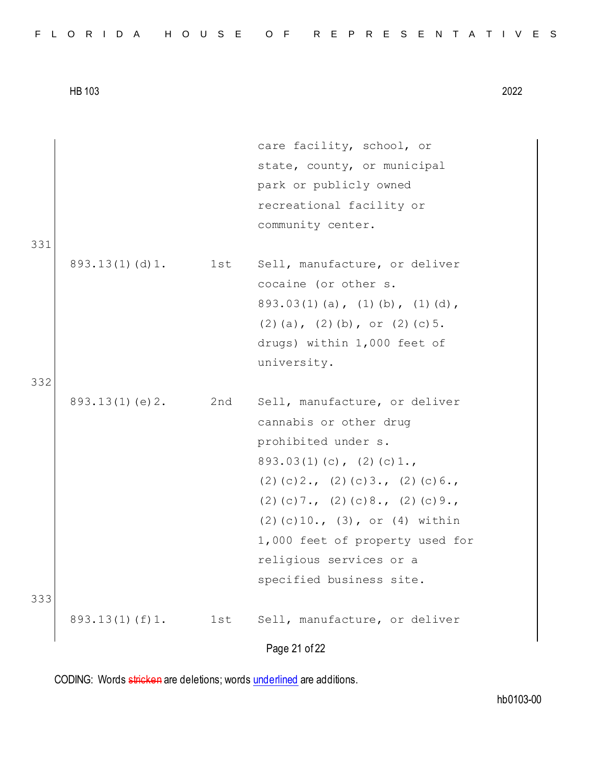|                    |     | care facility, school, or                      |
|--------------------|-----|------------------------------------------------|
|                    |     | state, county, or municipal                    |
|                    |     | park or publicly owned                         |
|                    |     | recreational facility or                       |
|                    |     | community center.                              |
|                    |     |                                                |
| $893.13(1)$ (d) 1. | 1st | Sell, manufacture, or deliver                  |
|                    |     | cocaine (or other s.                           |
|                    |     | $893.03(1)$ (a), (1) (b), (1) (d),             |
|                    |     | $(2)$ (a), $(2)$ (b), or $(2)$ (c) 5.          |
|                    |     | drugs) within 1,000 feet of                    |
|                    |     | university.                                    |
|                    |     |                                                |
| 893.13(1)(e)2.     | 2nd | Sell, manufacture, or deliver                  |
|                    |     | cannabis or other drug                         |
|                    |     | prohibited under s.                            |
|                    |     | $893.03(1)(c)$ , $(2)(c)1.$                    |
|                    |     | $(2)$ (c) $2.$ , (2) (c) $3.$ , (2) (c) $6.$ , |
|                    |     | $(2)$ (c) 7., (2) (c) 8., (2) (c) 9.,          |
|                    |     | $(2)$ (c) 10., (3), or (4) within              |
|                    |     | 1,000 feet of property used for                |
|                    |     | religious services or a                        |
|                    |     | specified business site.                       |
|                    |     |                                                |
| 893.13(1)(f)1.     | 1st | Sell, manufacture, or deliver                  |
|                    |     | Page 21 of 22                                  |
|                    |     |                                                |